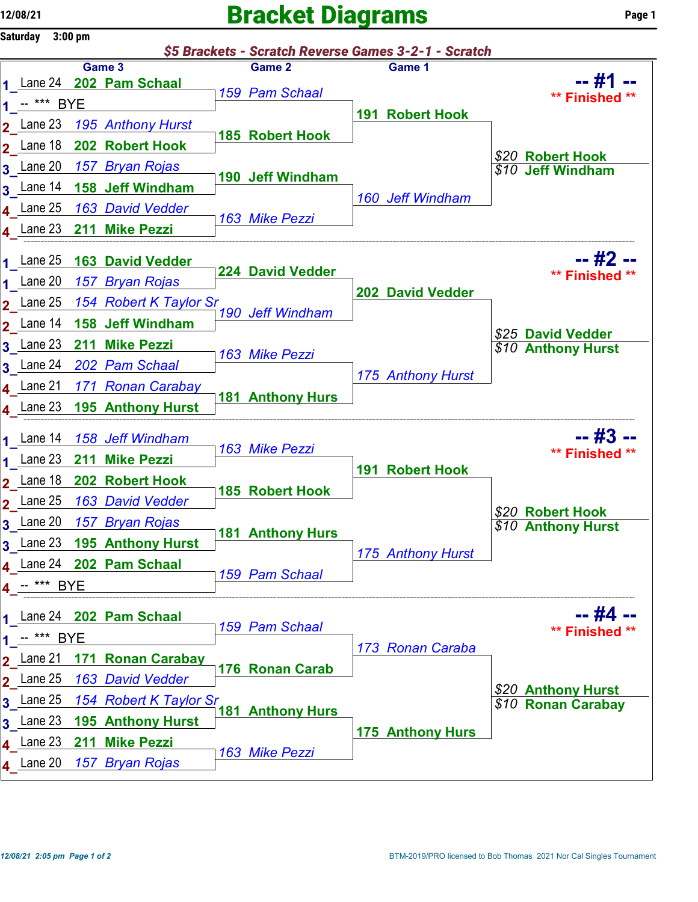## $12/08/21$  Page 1